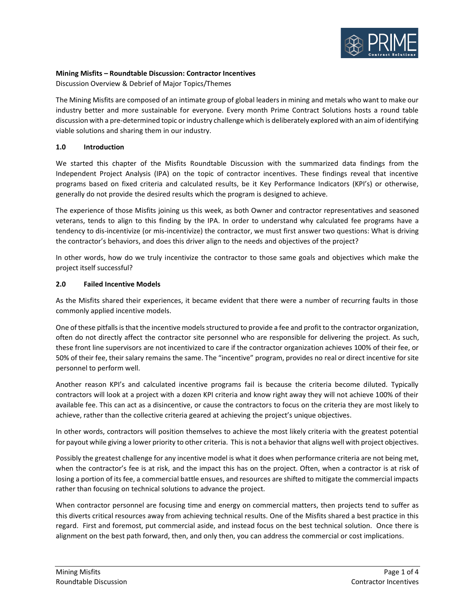

# **Mining Misfits – Roundtable Discussion: Contractor Incentives**

Discussion Overview & Debrief of Major Topics/Themes

The Mining Misfits are composed of an intimate group of global leaders in mining and metals who want to make our industry better and more sustainable for everyone. Every month Prime Contract Solutions hosts a round table discussion with a pre-determined topic or industry challenge which is deliberately explored with an aim of identifying viable solutions and sharing them in our industry.

# **1.0 Introduction**

We started this chapter of the Misfits Roundtable Discussion with the summarized data findings from the Independent Project Analysis (IPA) on the topic of contractor incentives. These findings reveal that incentive programs based on fixed criteria and calculated results, be it Key Performance Indicators (KPI's) or otherwise, generally do not provide the desired results which the program is designed to achieve.

The experience of those Misfits joining us this week, as both Owner and contractor representatives and seasoned veterans, tends to align to this finding by the IPA. In order to understand why calculated fee programs have a tendency to dis-incentivize (or mis-incentivize) the contractor, we must first answer two questions: What is driving the contractor's behaviors, and does this driver align to the needs and objectives of the project?

In other words, how do we truly incentivize the contractor to those same goals and objectives which make the project itself successful?

## **2.0 Failed Incentive Models**

As the Misfits shared their experiences, it became evident that there were a number of recurring faults in those commonly applied incentive models.

One of these pitfalls is that the incentive models structured to provide a fee and profit to the contractor organization, often do not directly affect the contractor site personnel who are responsible for delivering the project. As such, these front line supervisors are not incentivized to care if the contractor organization achieves 100% of their fee, or 50% of their fee, their salary remains the same. The "incentive" program, provides no real or direct incentive for site personnel to perform well.

Another reason KPI's and calculated incentive programs fail is because the criteria become diluted. Typically contractors will look at a project with a dozen KPI criteria and know right away they will not achieve 100% of their available fee. This can act as a disincentive, or cause the contractors to focus on the criteria they are most likely to achieve, rather than the collective criteria geared at achieving the project's unique objectives.

In other words, contractors will position themselves to achieve the most likely criteria with the greatest potential for payout while giving a lower priority to other criteria. This is not a behavior that aligns well with project objectives.

Possibly the greatest challenge for any incentive model is what it does when performance criteria are not being met, when the contractor's fee is at risk, and the impact this has on the project. Often, when a contractor is at risk of losing a portion of its fee, a commercial battle ensues, and resources are shifted to mitigate the commercial impacts rather than focusing on technical solutions to advance the project.

When contractor personnel are focusing time and energy on commercial matters, then projects tend to suffer as this diverts critical resources away from achieving technical results. One of the Misfits shared a best practice in this regard. First and foremost, put commercial aside, and instead focus on the best technical solution. Once there is alignment on the best path forward, then, and only then, you can address the commercial or cost implications.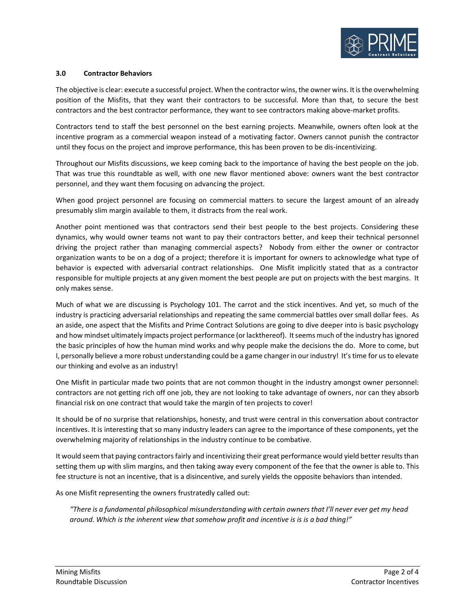

## **3.0 Contractor Behaviors**

The objective is clear: execute a successful project. When the contractor wins, the owner wins. It is the overwhelming position of the Misfits, that they want their contractors to be successful. More than that, to secure the best contractors and the best contractor performance, they want to see contractors making above-market profits.

Contractors tend to staff the best personnel on the best earning projects. Meanwhile, owners often look at the incentive program as a commercial weapon instead of a motivating factor. Owners cannot punish the contractor until they focus on the project and improve performance, this has been proven to be dis-incentivizing.

Throughout our Misfits discussions, we keep coming back to the importance of having the best people on the job. That was true this roundtable as well, with one new flavor mentioned above: owners want the best contractor personnel, and they want them focusing on advancing the project.

When good project personnel are focusing on commercial matters to secure the largest amount of an already presumably slim margin available to them, it distracts from the real work.

Another point mentioned was that contractors send their best people to the best projects. Considering these dynamics, why would owner teams not want to pay their contractors better, and keep their technical personnel driving the project rather than managing commercial aspects? Nobody from either the owner or contractor organization wants to be on a dog of a project; therefore it is important for owners to acknowledge what type of behavior is expected with adversarial contract relationships. One Misfit implicitly stated that as a contractor responsible for multiple projects at any given moment the best people are put on projects with the best margins. It only makes sense.

Much of what we are discussing is Psychology 101. The carrot and the stick incentives. And yet, so much of the industry is practicing adversarial relationships and repeating the same commercial battles over small dollar fees. As an aside, one aspect that the Misfits and Prime Contract Solutions are going to dive deeper into is basic psychology and how mindset ultimately impacts project performance (or lackthereof). It seems much of the industry has ignored the basic principles of how the human mind works and why people make the decisions the do. More to come, but I, personally believe a more robust understanding could be a game changer in our industry! It's time for us to elevate our thinking and evolve as an industry!

One Misfit in particular made two points that are not common thought in the industry amongst owner personnel: contractors are not getting rich off one job, they are not looking to take advantage of owners, nor can they absorb financial risk on one contract that would take the margin of ten projects to cover!

It should be of no surprise that relationships, honesty, and trust were central in this conversation about contractor incentives. It is interesting that so many industry leaders can agree to the importance of these components, yet the overwhelming majority of relationships in the industry continue to be combative.

It would seem that paying contractors fairly and incentivizing their great performance would yield better results than setting them up with slim margins, and then taking away every component of the fee that the owner is able to. This fee structure is not an incentive, that is a disincentive, and surely yields the opposite behaviors than intended.

As one Misfit representing the owners frustratedly called out:

*"There is a fundamental philosophical misunderstanding with certain owners that I'll never ever get my head around. Which is the inherent view that somehow profit and incentive is is is a bad thing!"*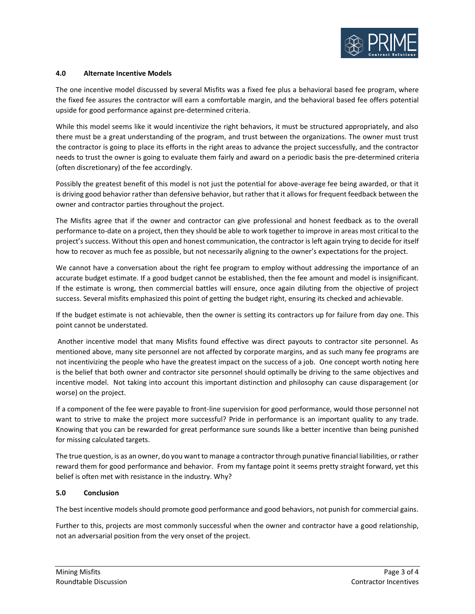

#### **4.0 Alternate Incentive Models**

The one incentive model discussed by several Misfits was a fixed fee plus a behavioral based fee program, where the fixed fee assures the contractor will earn a comfortable margin, and the behavioral based fee offers potential upside for good performance against pre-determined criteria.

While this model seems like it would incentivize the right behaviors, it must be structured appropriately, and also there must be a great understanding of the program, and trust between the organizations. The owner must trust the contractor is going to place its efforts in the right areas to advance the project successfully, and the contractor needs to trust the owner is going to evaluate them fairly and award on a periodic basis the pre-determined criteria (often discretionary) of the fee accordingly.

Possibly the greatest benefit of this model is not just the potential for above-average fee being awarded, or that it is driving good behavior rather than defensive behavior, but rather that it allows for frequent feedback between the owner and contractor parties throughout the project.

The Misfits agree that if the owner and contractor can give professional and honest feedback as to the overall performance to-date on a project, then they should be able to work together to improve in areas most critical to the project's success. Without this open and honest communication, the contractor is left again trying to decide for itself how to recover as much fee as possible, but not necessarily aligning to the owner's expectations for the project.

We cannot have a conversation about the right fee program to employ without addressing the importance of an accurate budget estimate. If a good budget cannot be established, then the fee amount and model is insignificant. If the estimate is wrong, then commercial battles will ensure, once again diluting from the objective of project success. Several misfits emphasized this point of getting the budget right, ensuring its checked and achievable.

If the budget estimate is not achievable, then the owner is setting its contractors up for failure from day one. This point cannot be understated.

Another incentive model that many Misfits found effective was direct payouts to contractor site personnel. As mentioned above, many site personnel are not affected by corporate margins, and as such many fee programs are not incentivizing the people who have the greatest impact on the success of a job. One concept worth noting here is the belief that both owner and contractor site personnel should optimally be driving to the same objectives and incentive model. Not taking into account this important distinction and philosophy can cause disparagement (or worse) on the project.

If a component of the fee were payable to front-line supervision for good performance, would those personnel not want to strive to make the project more successful? Pride in performance is an important quality to any trade. Knowing that you can be rewarded for great performance sure sounds like a better incentive than being punished for missing calculated targets.

The true question, is as an owner, do you want to manage a contractor through punative financial liabilities, or rather reward them for good performance and behavior. From my fantage point it seems pretty straight forward, yet this belief is often met with resistance in the industry. Why?

## **5.0 Conclusion**

The best incentive models should promote good performance and good behaviors, not punish for commercial gains.

Further to this, projects are most commonly successful when the owner and contractor have a good relationship, not an adversarial position from the very onset of the project.